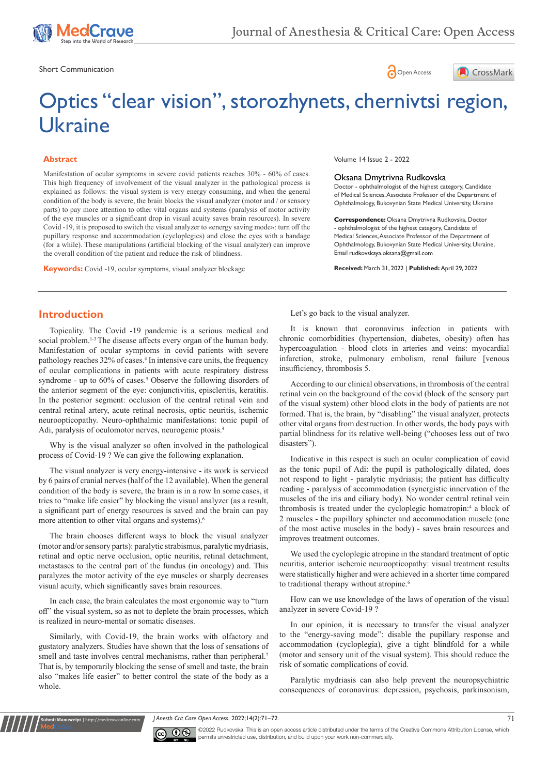

Short Communication and the state of the state of the state of the Short Communication and the Short Communication





# Optics "clear vision", storozhynets, chernivtsi region, Ukraine

#### **Abstract**

Manifestation of ocular symptoms in severe covid patients reaches 30% - 60% of cases. This high frequency of involvement of the visual analyzer in the pathological process is explained as follows: the visual system is very energy consuming, and when the general condition of the body is severe, the brain blocks the visual analyzer (motor and / or sensory parts) to pay more attention to other vital organs and systems (paralysis of motor activity of the eye muscles or a significant drop in visual acuity saves brain resources). In severe Covid -19, it is proposed to switch the visual analyzer to «energy saving mode»: turn off the pupillary response and accommodation (cycloplegics) and close the eyes with a bandage (for a while). These manipulations (artificial blocking of the visual analyzer) can improve the overall condition of the patient and reduce the risk of blindness.

**Keywords:** Covid -19, ocular symptoms, visual analyzer blockage

Volume 14 Issue 2 - 2022

#### Oksana Dmytrivna Rudkovska

Doctor - ophthalmologist of the highest category, Candidate of Medical Sciences, Associate Professor of the Department of Ophthalmology, Bukovynian State Medical University, Ukraine

**Correspondence:** Oksana Dmytrivna Rudkovska, Doctor - ophthalmologist of the highest category, Candidate of Medical Sciences, Associate Professor of the Department of Ophthalmology, Bukovynian State Medical University, Ukraine, Email rudkovskaya.oksana@gmail.com

**Received:** March 31, 2022 | **Published:** April 29, 2022

### **Introduction**

Topicality. The Covid -19 pandemic is a serious medical and social problem.<sup>1-3</sup> The disease affects every organ of the human body. Manifestation of ocular symptoms in covid patients with severe pathology reaches 32% of cases. <sup>4</sup> In intensive care units, the frequency of ocular complications in patients with acute respiratory distress syndrome - up to 60% of cases. <sup>5</sup> Observe the following disorders of the anterior segment of the eye: conjunctivitis, episcleritis, keratitis. In the posterior segment: occlusion of the central retinal vein and central retinal artery, acute retinal necrosis, optic neuritis, ischemic neuroopticopathy. Neuro-ophthalmic manifestations: tonic pupil of Adi, paralysis of oculomotor nerves, neurogenic ptosis. 4

Why is the visual analyzer so often involved in the pathological process of Covid-19 ? We can give the following explanation.

The visual analyzer is very energy-intensive - its work is serviced by 6 pairs of cranial nerves (half of the 12 available). When the general condition of the body is severe, the brain is in a row In some cases, it tries to "make life easier" by blocking the visual analyzer (as a result, a significant part of energy resources is saved and the brain can pay more attention to other vital organs and systems). 6

The brain chooses different ways to block the visual analyzer (motor and/or sensory parts): paralytic strabismus, paralytic mydriasis, retinal and optic nerve occlusion, optic neuritis, retinal detachment, metastases to the central part of the fundus (in oncology) and. This paralyzes the motor activity of the eye muscles or sharply decreases visual acuity, which significantly saves brain resources.

In each case, the brain calculates the most ergonomic way to "turn off" the visual system, so as not to deplete the brain processes, which is realized in neuro-mental or somatic diseases.

Similarly, with Covid-19, the brain works with olfactory and gustatory analyzers. Studies have shown that the loss of sensations of smell and taste involves central mechanisms, rather than peripheral.<sup>7</sup> That is, by temporarily blocking the sense of smell and taste, the brain also "makes life easier" to better control the state of the body as a whole.

**Kubmit Manuscript** | http://medcraveonlin

Let's go back to the visual analyzer.

It is known that coronavirus infection in patients with chronic comorbidities (hypertension, diabetes, obesity) often has hypercoagulation - blood clots in arteries and veins: myocardial infarction, stroke, pulmonary embolism, renal failure [venous insufficiency, thrombosis 5.

According to our clinical observations, in thrombosis of the central retinal vein on the background of the covid (block of the sensory part of the visual system) other blood clots in the body of patients are not formed. That is, the brain, by "disabling" the visual analyzer, protects other vital organs from destruction. In other words, the body pays with partial blindness for its relative well-being ("chooses less out of two disasters").

Indicative in this respect is such an ocular complication of covid as the tonic pupil of Adi: the pupil is pathologically dilated, does not respond to light - paralytic mydriasis; the patient has difficulty reading - paralysis of accommodation (synergistic innervation of the muscles of the iris and ciliary body). No wonder central retinal vein thrombosis is treated under the cycloplegic homatropin:<sup>4</sup> a block of 2 muscles - the pupillary sphincter and accommodation muscle (one of the most active muscles in the body) - saves brain resources and improves treatment outcomes.

We used the cycloplegic atropine in the standard treatment of optic neuritis, anterior ischemic neuroopticopathy: visual treatment results were statistically higher and were achieved in a shorter time compared to traditional therapy without atropine.<sup>6</sup>

How can we use knowledge of the laws of operation of the visual analyzer in severe Covid-19 ?

In our opinion, it is necessary to transfer the visual analyzer to the "energy-saving mode": disable the pupillary response and accommodation (cycloplegia), give a tight blindfold for a while (motor and sensory unit of the visual system). This should reduce the risk of somatic complications of covid.

Paralytic mydriasis can also help prevent the neuropsychiatric consequences of coronavirus: depression, psychosis, parkinsonism,

*J Anesth Crit Care Open Access.* 2022;14(2):71‒72. 71



©2022 Rudkovska. This is an open access article distributed under the terms of the [Creative Commons Attribution License,](https://creativecommons.org/licenses/by-nc/4.0/) which permits unrestricted use, distribution, and build upon your work non-commercially.